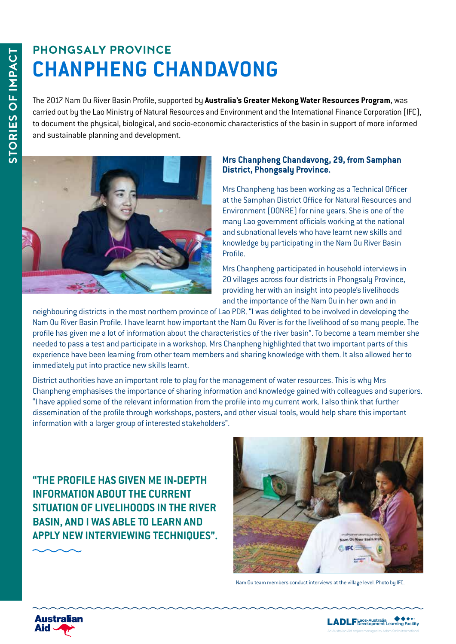## **PHONGSALY PROVINCE CHANPHENG CHANDAVONG**

The 2017 Nam Ou River Basin Profile, supported by **Australia's Greater Mekong Water Resources Program**, was carried out by the Lao Ministry of Natural Resources and Environment and the International Finance Corporation (IFC), to document the physical, biological, and socio-economic characteristics of the basin in support of more informed and sustainable planning and development.



#### **Mrs Chanpheng Chandavong, 29, from Samphan District, Phongsaly Province.**

Mrs Chanpheng has been working as a Technical Officer at the Samphan District Office for Natural Resources and Environment (DONRE) for nine years. She is one of the many Lao government officials working at the national and subnational levels who have learnt new skills and knowledge by participating in the Nam Ou River Basin Profile.

Mrs Chanpheng participated in household interviews in 20 villages across four districts in Phongsaly Province, providing her with an insight into people's livelihoods and the importance of the Nam Ou in her own and in

neighbouring districts in the most northern province of Lao PDR. "I was delighted to be involved in developing the Nam Ou River Basin Profile. I have learnt how important the Nam Ou River is for the livelihood of so many people. The profile has given me a lot of information about the characteristics of the river basin". To become a team member she needed to pass a test and participate in a workshop. Mrs Chanpheng highlighted that two important parts of this experience have been learning from other team members and sharing knowledge with them. It also allowed her to immediately put into practice new skills learnt.

District authorities have an important role to play for the management of water resources. This is why Mrs Chanpheng emphasises the importance of sharing information and knowledge gained with colleagues and superiors. "I have applied some of the relevant information from the profile into my current work. I also think that further dissemination of the profile through workshops, posters, and other visual tools, would help share this important information with a larger group of interested stakeholders".

**"THE PROFILE HAS GIVEN ME IN-DEPTH INFORMATION ABOUT THE CURRENT SITUATION OF LIVELIHOODS IN THE RIVER BASIN, AND I WAS ABLE TO LEARN AND APPLY NEW INTERVIEWING TECHNIQUES".**



Nam Ou team members conduct interviews at the village level. Photo by IFC.



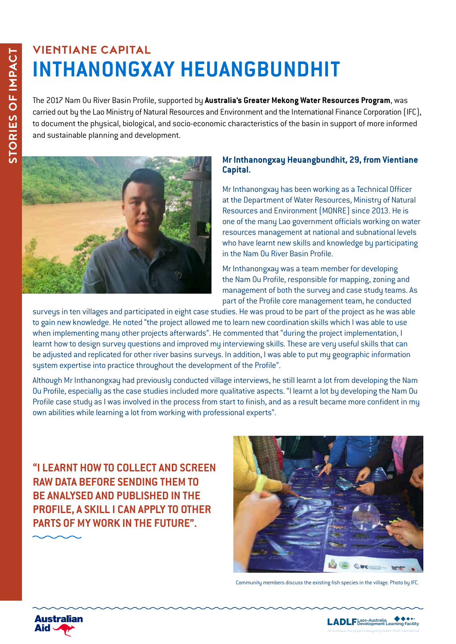### **VIENTIANE CAPITAL INTHANONGXAY HEUANGBUNDHIT**

The 2017 Nam Ou River Basin Profile, supported by **Australia's Greater Mekong Water Resources Program**, was carried out by the Lao Ministry of Natural Resources and Environment and the International Finance Corporation (IFC), to document the physical, biological, and socio-economic characteristics of the basin in support of more informed and sustainable planning and development.



#### **Mr Inthanongxay Heuangbundhit, 29, from Vientiane Capital.**

Mr Inthanongxay has been working as a Technical Officer at the Department of Water Resources, Ministry of Natural Resources and Environment (MONRE) since 2013. He is one of the many Lao government officials working on water resources management at national and subnational levels who have learnt new skills and knowledge by participating in the Nam Ou River Basin Profile.

Mr Inthanongxay was a team member for developing the Nam Ou Profile, responsible for mapping, zoning and management of both the survey and case study teams. As part of the Profile core management team, he conducted

surveys in ten villages and participated in eight case studies. He was proud to be part of the project as he was able to gain new knowledge. He noted "the project allowed me to learn new coordination skills which I was able to use when implementing many other projects afterwards". He commented that "during the project implementation, I learnt how to design survey questions and improved my interviewing skills. These are very useful skills that can be adjusted and replicated for other river basins surveys. In addition, I was able to put my geographic information system expertise into practice throughout the development of the Profile".

Although Mr Inthanongxay had previously conducted village interviews, he still learnt a lot from developing the Nam Ou Profile, especially as the case studies included more qualitative aspects. "I learnt a lot by developing the Nam Ou Profile case study as I was involved in the process from start to finish, and as a result became more confident in my own abilities while learning a lot from working with professional experts".

**"I LEARNT HOW TO COLLECT AND SCREEN RAW DATA BEFORE SENDING THEM TO BE ANALYSED AND PUBLISHED IN THE PROFILE, A SKILL I CAN APPLY TO OTHER PARTS OF MY WORK IN THE FUTURE".**



Community members discuss the existing fish species in the village. Photo by IFC.